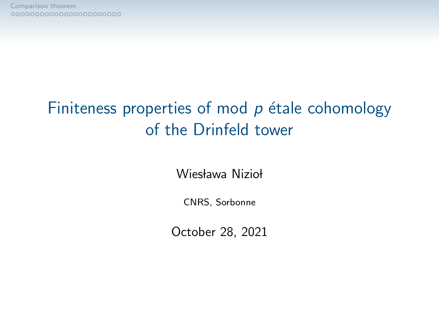## Finiteness properties of mod  $p$  étale cohomology of the Drinfeld tower

Wiesława Nizioł

CNRS, Sorbonne

October 28, 2021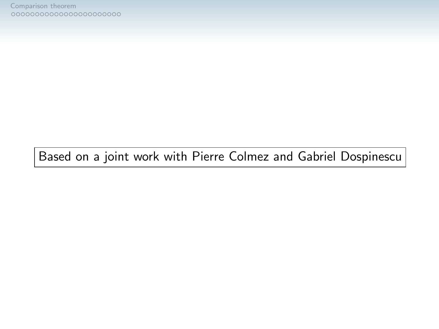Based on a joint work with Pierre Colmez and Gabriel Dospinescu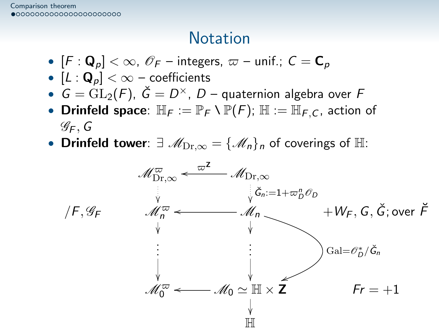#### **Notation**

- <span id="page-2-0"></span>•  $[F: \mathbf{Q}_p] < \infty$ ,  $\mathscr{O}_F$  – integers,  $\varpi$  – unif.;  $C = \mathbf{C}_p$
- $[L: \mathbf{Q}_p] < \infty$  coefficients
- $\bullet\; \; G = {\rm GL}_2(F),\; \check G = D^\times,\; D$  quaternion algebra over  $F$
- Drinfeld space:  $\mathbb{H}_F := \mathbb{P}_F \setminus \mathbb{P}(F)$ ;  $\mathbb{H} := \mathbb{H}_{F,C}$ , action of  $\mathscr{G}_F$ , G
- Drinfeld tower:  $\exists \mathcal{M}_{\text{Dr},\infty} = {\mathcal{M}_n}_n$  of coverings of  $\mathbb{H}$ :

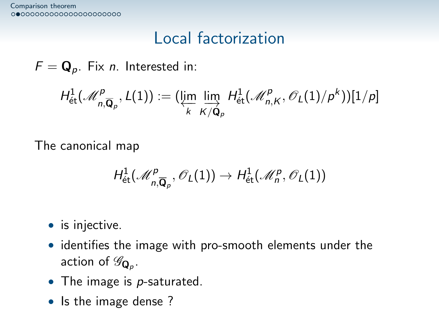#### Local factorization

 $F = \mathbf{Q}_p$ . Fix *n*. Interested in:

$$
H^1_{\mathrm{\acute{e}t}}(\mathscr{M}^{\mathcal{P} }_{n, \overline{{\bf Q}}_{\rho}}, L(1)):= (\varprojlim_k \varinjlim_{K/\bar{{\bf Q}}_{\rho}} H^1_{\mathrm{\acute{e}t}}(\mathscr{M}^{\mathcal{P} }_{n,K}, \mathscr{O}_L(1)/\rho^{k}))[1/\rho]
$$

The canonical map

$$
H^1_{\mathrm{\acute{e}t}}(\mathcal{M}^p_{n, \overline{\mathbf{Q}}_p}, \mathcal{O}_L(1)) \rightarrow H^1_{\mathrm{\acute{e}t}}(\mathcal{M}^p_n, \mathcal{O}_L(1))
$$

• is injective.

- identifies the image with pro-smooth elements under the action of  $\mathscr{G}_{\mathbf{Q}_{p}}$ .
- The image is  $p$ -saturated.
- Is the image dense?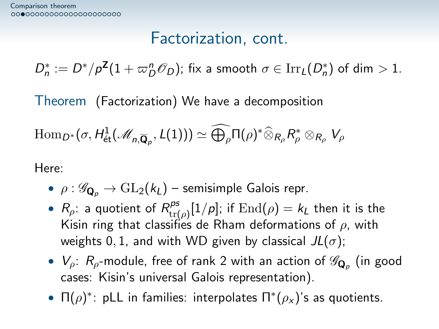#### Factorization, cont.

 $D_n^* := D^* / p^{\mathsf{Z}} (1 + \varpi_D^n \mathscr{O}_D)$ ; fix a smooth  $\sigma \in \operatorname{Irr}_L(D_n^*)$  of dim  $> 1$ .

Theorem (Factorization) We have a decomposition

$$
\mathrm{Hom}_{D^*}(\sigma,H^1_{\text{\'et}}(\mathscr{M}_{n, \overline{\mathbf{Q}}_p},L(1)))\simeq \widehat{\bigoplus_{\rho}} \Pi(\rho)^* \widehat{\otimes}_{R_{\rho}} R_{\rho}^* \otimes_{R_{\rho}} V_{\rho}
$$

Here:

- $\rho : \mathscr{G}_{\mathbf{Q}_p} \to \mathrm{GL}_2(k_L)$  semisimple Galois repr.
- $R_\rho$ : a quotient of  $R_{\rm trf}^{\rm ps}$  $\int_{\text{tr}(\rho)}^{\rho s}[1/\rho];$  if  $\text{End}(\rho)=k_L$  then it is the Kisin ring that classifies de Rham deformations of  $\rho$ , with weights 0, 1, and with WD given by classical  $JL(\sigma)$ ;
- $\bullet\; \; V_{\rho}\!\!: \; R_{\rho}\!\!$ -module, free of rank 2 with an action of  $\mathscr{G}_{\mathbf{Q}_{\rho}}$  (in good cases: Kisin's universal Galois representation).
- $\Pi(\rho)^*$ : pLL in families: interpolates  $\Pi^*(\rho_X)$ 's as quotients.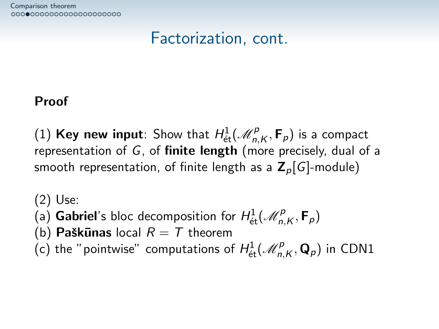## Factorization, cont.

#### Proof

(1) Key new input: Show that  $H^1_{\text{\'et}}(\mathscr{M}^p_{n,K},\mathsf{F}_p)$  is a compact representation of  $G$ , of **finite length** (more precisely, dual of a smooth representation, of finite length as a  $\mathbb{Z}_p[G]$ -module)

(2) Use: (a) Gabriel's bloc decomposition for  $H^1_{\text{\'et}}(\mathscr{M}^p_{n,K},\mathsf{F}_p)$ (b) Paškūnas local  $R = T$  theorem (c) the "pointwise" computations of  $H^1_{\text{\'et}}(\mathscr{M}^p_{n,K},\mathbf{Q}_p)$  in CDN1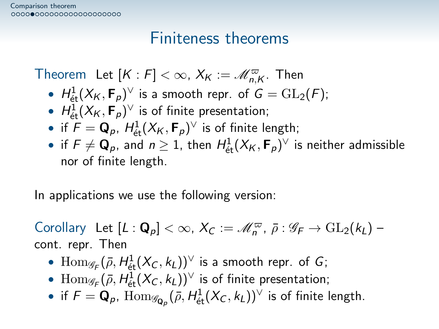#### Finiteness theorems

Theorem Let  $[K:F] < \infty$ ,  $X_K := \mathscr{M}_{n,K}^{\varpi}$ . Then

- $H^1_{\text{\'et}}(X_K,\mathsf{F}_p)^\vee$  is a smooth repr. of  $G=\mathrm{GL}_2(F)$ ;
- $H^1_{\text{\'et}}(X_K,\mathbf{F}_p)^\vee$  is of finite presentation;
- if  $F = \mathbf{Q}_p$ ,  $H^1_{\text{\'et}}(X_K, \mathbf{F}_p)^\vee$  is of finite length;
- $\bullet\,$  if  $F\neq \mathbf{Q}_p$ , and  $n\geq 1$ , then  $H^1_{\text{\'et}}(X_{\mathsf{K}},\mathsf{F}_p)^\vee$  is neither admissible nor of finite length.

In applications we use the following version:

Corollary Let  $[L: \mathbf{Q}_p] < \infty$ ,  $X_C := \mathscr{M}_n^{\varpi}$ ,  $\bar{\rho} : \mathscr{G}_F \to \mathrm{GL}_2(k_L)$  – cont. repr. Then

- $\operatorname{Hom}_{\mathscr{G}_F}(\bar{\rho},H^1_{\text{\'et}}(X_C,k_L))^{\vee}$  is a smooth repr. of  $G;$
- $\text{Hom}_{\mathscr{G}_{\digamma}}(\bar{\rho},H^1_\text{\'et}(X_C,k_L))^{\vee}$  is of finite presentation;
- if  $F = \mathbf{Q}_p$ ,  $\mathrm{Hom}_{\mathscr{G}_{\mathbf{Q}_p}}(\bar{\rho}, H^1_\mathrm{\acute{e}t}(X_C,k_L))^{\vee}$  is of finite length.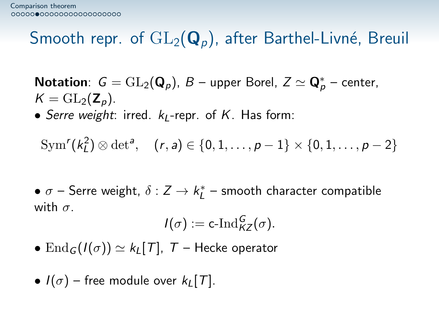## Smooth repr. of  $GL_2(Q_p)$ , after Barthel-Livné, Breuil

**Notation**:  $G = GL_2(\mathbf{Q}_p)$ ,  $B$  – upper Borel,  $Z \simeq \mathbf{Q}_p^*$  – center,  $K = GL_2(\mathbf{Z}_n)$ .

• Serre weight: irred.  $k_1$ -repr. of K. Has form:

 $\text{Sym}^r(k_L^2) \otimes \det^a, \quad (r, a) \in \{0, 1, \ldots, p - 1\} \times \{0, 1, \ldots, p - 2\}$ 

 $\bullet$   $\sigma$  – Serre weight,  $\delta: Z \rightarrow k^*_L$  – smooth character compatible with  $\sigma$ .

$$
I(\sigma):=\operatorname{c-Ind}_{KZ}^G(\sigma).
$$

- $\text{End}_G(I(\sigma)) \simeq k_I[T]$ ,  $T$  Hecke operator
- $I(\sigma)$  free module over  $k_I[T]$ .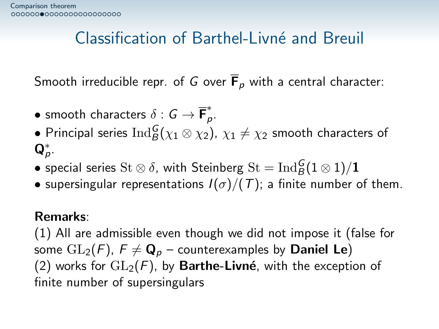### Classification of Barthel-Livn´e and Breuil

Smooth irreducible repr. of G over  $\overline{F}_p$  with a central character:

- $\bullet$  smooth characters  $\delta: \mathsf{G} \to \overline{\mathsf{F}}_{\mathsf{G}}^*$ p .
- $\bullet$  Principal series  $\operatorname{Ind}_B^G(\chi_1 \otimes \chi_2), \, \chi_1 \neq \chi_2$  smooth characters of  $\mathbf{Q}_p^*$ .
- $\bullet$  special series  $\mathrm{St} \otimes \delta$ , with Steinberg  $\mathrm{St} = \mathrm{Ind}_{B}^G(1 \otimes 1)/{\bf 1}$
- supersingular representations  $I(\sigma)/(T)$ ; a finite number of them.

#### Remarks:

(1) All are admissible even though we did not impose it (false for some  $GL_2(F)$ ,  $F \neq \mathbf{Q}_p$  – counterexamples by **Daniel Le**) (2) works for  $GL_2(F)$ , by Barthe-Livné, with the exception of finite number of supersingulars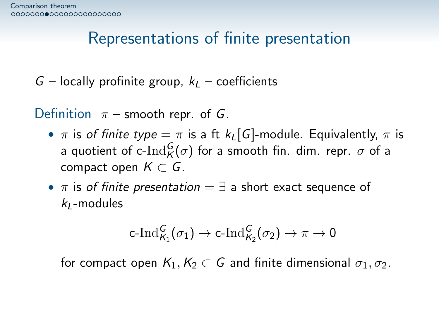## Representations of finite presentation

 $G$  – locally profinite group,  $k<sub>L</sub>$  – coefficients

Definition  $\pi$  – smooth repr. of G.

- $\pi$  is of finite type  $=\pi$  is a ft  $k_L[G]$ -module. Equivalently,  $\pi$  is a quotient of c- $\operatorname{Ind}^G_{\mathcal{K}}(\sigma)$  for a smooth fin. dim. repr.  $\sigma$  of a compact open  $K \subset G$ .
- $\pi$  is of finite presentation =  $\exists$  a short exact sequence of  $k_1$ -modules

$$
\mathsf{c}\text{-}\mathrm{Ind}_{\mathcal{K}_1}^G(\sigma_1) \rightarrow \mathsf{c}\text{-}\mathrm{Ind}_{\mathcal{K}_2}^G(\sigma_2) \rightarrow \pi \rightarrow 0
$$

for compact open  $K_1, K_2 \subset G$  and finite dimensional  $\sigma_1, \sigma_2$ .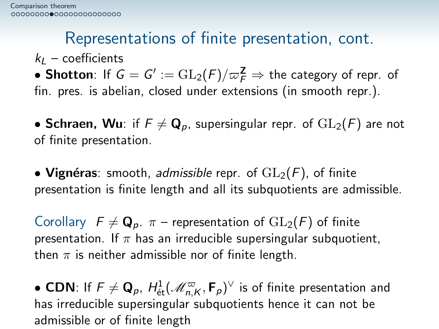## Representations of finite presentation, cont.

 $k_1$  – coefficients

 $\bullet$  Shotton: If  $G=G':=\operatorname{GL}_2(F)/\varpi_F^{\mathbf{Z}}\Rightarrow$  the category of repr. of fin. pres. is abelian, closed under extensions (in smooth repr.).

• Schraen, Wu: if  $F \neq \mathbf{Q}_p$ , supersingular repr. of  $GL_2(F)$  are not of finite presentation.

• Vignéras: smooth, admissible repr. of  $GL_2(F)$ , of finite presentation is finite length and all its subquotients are admissible.

Corollary  $F \neq \mathbf{Q}_p$ .  $\pi$  – representation of  $GL_2(F)$  of finite presentation. If  $\pi$  has an irreducible supersingular subquotient, then  $\pi$  is neither admissible nor of finite length.

• CDN: If  $\mathsf{F}\neq \mathsf{Q}_p$ ,  $H^1_{\text{\'et}}(\mathscr{M}^\varpi_{n,\mathsf{K}},\mathsf{F}_p)^\vee$  is of finite presentation and has irreducible supersingular subquotients hence it can not be admissible or of finite length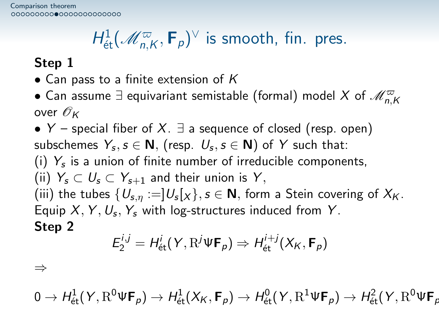# $H^1_{\text{\'et}}(\mathscr{M}^{\varpi}_{n,\mathsf{K}},\mathsf{F}_p)^\vee$  is smooth, fin. pres.

#### Step 1

- Can pass to a finite extension of  $K$
- $\bullet$  Can assume  $\exists$  equivariant semistable (formal) model  $X$  of  $\mathscr{M}_{n,K}^{\varpi}$ over  $\mathscr{O}_K$

• Y – special fiber of X.  $\exists$  a sequence of closed (resp. open) subschemes  $\varUpsilon_s, s\in {\sf N},$  (resp.  $\,U_s, s\in {\sf N})$  of  $\,Y\,$  such that: (i)  $Y_s$  is a union of finite number of irreducible components, (ii)  $Y_s \subset U_s \subset Y_{s+1}$  and their union is Y, (iii) the tubes  $\{U_{\mathsf{s},\eta}:=]U_{\mathsf{s}}[\chi\}, \mathsf{s}\in\mathsf{N},$  form a Stein covering of  $X_{\mathsf{K}}.$ Equip  $X, Y, U_s, Y_s$  with log-structures induced from Y. Step 2 і $j\equiv H^i$ ited and a state

$$
E_2^{i,j} = H_{\text{\'et}}^i(Y, \mathrm{R}^j \Psi \mathbf{F}_p) \Rightarrow H_{\text{\'et}}^{i+j}(X_K, \mathbf{F}_p)
$$

⇒

 $0\to H^1_{\mathrm{\acute{e}t}}(Y,\mathrm{R}^0\Psi\mathsf{F}_\rho)\to H^1_{\mathrm{\acute{e}t}}(X_K,\mathsf{F}_\rho)\to H^0_{\mathrm{\acute{e}t}}(Y,\mathrm{R}^1\Psi\mathsf{F}_\rho)\to H^2_{\mathrm{\acute{e}t}}(Y,\mathrm{R}^0\Psi\mathsf{F}_\rho$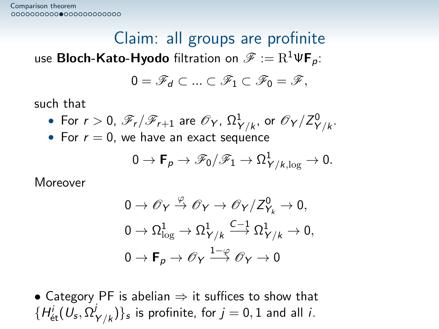Claim: all groups are profinite use **Bloch-Kato-Hyodo** filtration on  $\mathscr{F} := \mathrm{R}^1 \Psi \mathbf{F}_p$ :

$$
0=\mathscr{F}_d\subset\ldots\subset\mathscr{F}_1\subset\mathscr{F}_0=\mathscr{F},
$$

such that

• For 
$$
r > 0
$$
,  $\mathscr{F}_r/\mathscr{F}_{r+1}$  are  $\mathscr{O}_Y$ ,  $\Omega^1_{Y/k}$ , or  $\mathscr{O}_Y/Z^0_{Y/k}$ .

• For  $r = 0$ , we have an exact sequence

$$
0\to \mathbf{F}_\rho\to \mathscr{F}_0/\mathscr{F}_1\to \Omega^1_{Y/k,\log}\to 0.
$$

Moreover

$$
0 \to \mathscr{O}_Y \xrightarrow{\varphi} \mathscr{O}_Y \to \mathscr{O}_Y/Z_{Y_k}^0 \to 0,
$$
  

$$
0 \to \Omega_{\log}^1 \to \Omega_{Y/k}^1 \xrightarrow{C-1} \Omega_{Y/k}^1 \to 0,
$$
  

$$
0 \to \mathbf{F}_p \to \mathscr{O}_Y \xrightarrow{1-\varphi} \mathscr{O}_Y \to 0
$$

• Category PF is abelian  $\Rightarrow$  it suffices to show that  $\{H_{\mathrm{\acute{e}t}}^{i}(U_{\mathsf{s}},\Omega_{\mathsf{s}}^{j}% (\theta_{\mathsf{s}}))\}_{i,j=1}^{N}$  $\{Y_{\gamma/k})\}_{s}$  is profinite, for  $j=0,1$  and all  $i.$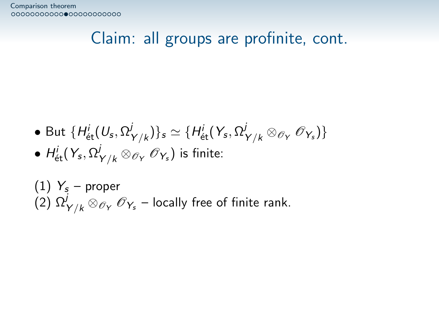#### Claim: all groups are profinite, cont.

- But  $\{H_{\mathrm{\acute{e}t}}^{i}(U_{\mathrm{s}},\Omega_{\mathrm{s}}^{j}% (\theta_{\mathrm{c}}))\}_{i,j\in\mathbb{Z}_{+}^{d},\left| i\right| \leq n}$  $\{(\mathcal{Y}_{\gamma/k})\}_{\mathcal{S}} \simeq \{H_{\mathrm{\acute{e}t}}^i(\mathcal{Y}_{\mathcal{S}},\Omega^j_{\mathcal{Y}/k}\otimes_{\mathscr{O}_Y}\mathscr{O}_{\mathcal{Y}_{\mathcal{S}}})\}_{\mathcal{S}}$
- $\bullet$   $H^i_{\mathrm{\acute{e}t}}(Y_s,\Omega^j_{Y/k} \otimes_{\mathscr{O}_Y} \mathscr{O}_{Y_s})$  is finite:
- $(1)$   $Y_s$  proper  $\widetilde{P(2)}$   $\Omega^j_{Y/k} \otimes_{\mathscr{O}_Y} \mathscr{O}_{Y_s}$  – locally free of finite rank.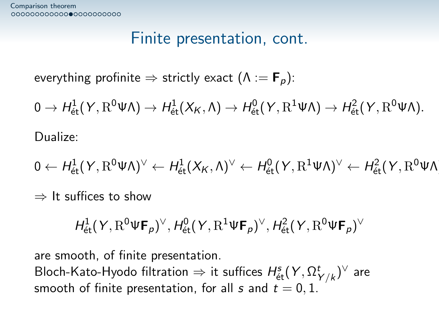#### Finite presentation, cont.

everything profinite  $\Rightarrow$  strictly exact  $(\Lambda = \mathbf{F}_p)$ :

 $0 \to H^1_{\text{\'et}}(Y, \mathrm{R}^0 \Psi \Lambda) \to H^1_{\text{\'et}}(X_K, \Lambda) \to H^0_{\text{\'et}}(Y, \mathrm{R}^1 \Psi \Lambda) \to H^2_{\text{\'et}}(Y, \mathrm{R}^0 \Psi \Lambda).$ 

Dualize:

$$
0 \leftarrow \textit{H}^{1}_{\textit{\'et}}(Y, \textit{R}^{0}\Psi\Lambda)^{\vee} \leftarrow \textit{H}^{1}_{\textit{\'et}}(X_{\textit{K}}, \Lambda)^{\vee} \leftarrow \textit{H}^{0}_{\textit{\'et}}(Y, \textit{R}^{1}\Psi\Lambda)^{\vee} \leftarrow \textit{H}^{2}_{\textit{\'et}}(Y, \textit{R}^{0}\Psi\Lambda)^{\vee}
$$

 $\Rightarrow$  It suffices to show

$$
H^1_{\text{\'et}}(Y, \mathrm{R}^0 \Psi \mathbf{F}_p)^\vee, H^0_{\text{\'et}}(Y, \mathrm{R}^1 \Psi \mathbf{F}_p)^\vee, H^2_{\text{\'et}}(Y, \mathrm{R}^0 \Psi \mathbf{F}_p)^\vee
$$

are smooth, of finite presentation.

Bloch-Kato-Hyodo filtration  $\Rightarrow$  it suffices  $H^s_{\mathrm{\acute{e}t}}(Y,\Omega^t_{Y/k})^\vee$  are smooth of finite presentation, for all s and  $t = 0, 1$ .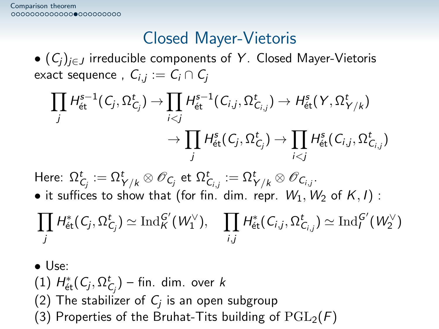### Closed Mayer-Vietoris

•  $(C_i)_{i \in J}$  irreducible components of Y. Closed Mayer-Vietoris exact sequence ,  $\mathsf{C}_{i,j}:=\mathsf{C}_{i}\cap \mathsf{C}_{j}$ 

$$
\prod_j H_{\text{\'et}}^{s-1}(C_j, \Omega_{C_j}^t) \to \prod_{i < j} H_{\text{\'et}}^{s-1}(C_{i,j}, \Omega_{C_{i,j}}^t) \to H_{\text{\'et}}^s(Y, \Omega_{Y/k}^t)
$$
\n
$$
\to \prod_j H_{\text{\'et}}^s(C_j, \Omega_{C_j}^t) \to \prod_{i < j} H_{\text{\'et}}^s(C_{i,j}, \Omega_{C_{i,j}}^t)
$$

Here:  $\Omega_{\mathsf{C}_j}^t:=\Omega_{\mathsf{Y}/\mathsf{k}}^t\otimes \mathscr{O}_{\mathsf{C}_j}$  et  $\Omega_{\mathsf{C}_{i,j}}^t:=\Omega_{\mathsf{Y}/\mathsf{k}}^t\otimes \mathscr{O}_{\mathsf{C}_{i,j}}.$ 

• it suffices to show that (for fin. dim. repr.  $W_1, W_2$  of  $K, I$ ) :

$$
\prod_j H^*_{\text{\'et}}(C_j,\Omega^t_{C_j})\simeq \operatorname{Ind}^{G'}_K(W_1^\vee),\quad \prod_{i,j} H^*_{\text{\'et}}(C_{i,j},\Omega^t_{C_{i,j}})\simeq \operatorname{Ind}^{G'}_I(W_2^\vee)
$$

• Use:

(1)  $H^*_{\text{\'et}}(C_j,\Omega^t_{C_j})$  – fin. dim. over k

- (2) The stabilizer of  $\mathsf{C}_j$  is an open subgroup
- (3) Properties of the Bruhat-Tits building of  $PGL_2(F)$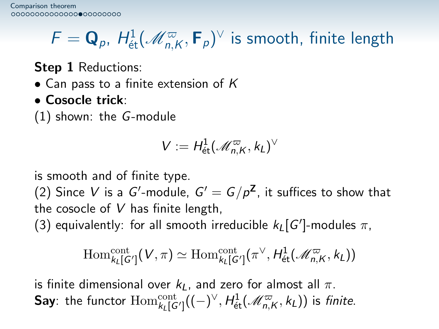# $\mathcal{F} = \mathbf{Q}_\rho, \ H^1_{\text{\'et}}(\mathscr{M}^\varpi_{n,\mathsf{K}},\mathsf{F}_\rho)^\vee$  is smooth, finite length

Step 1 Reductions:

- Can pass to a finite extension of  $K$
- Cosocle trick:

(1) shown: the G-module

$$
V:=H^1_{\text{\'et}}(\mathcal{M}^\varpi_{n,K},k_L)^\vee
$$

is smooth and of finite type.

(2) Since  $V$  is a  $G'$ -module,  $G' = G/p^{\mathsf{Z}}$ , it suffices to show that the cosocle of  $V$  has finite length,

(3) equivalently: for all smooth irreducible  $k_L[G']$ -modules  $\pi$ ,

$$
\mathrm{Hom}^{\mathrm{cont}}_{k_{L}[G']} (V, \pi) \simeq \mathrm{Hom}^{\mathrm{cont}}_{k_{L}[G']} ( \pi^{\vee}, H^{1}_{\mathrm{\acute{e}t}}(\mathcal{M}_{n,K}^{\varpi}, k_{L}) )
$$

is finite dimensional over  $k<sub>L</sub>$ , and zero for almost all  $\pi$ . **Say**: the functor  $\mathrm{Hom}_{k_L[G']}^{\mathrm{cont}}((-)^{\vee},H^1_{\text{\'et}}(\mathscr{M}_{n,K}^\varpi,k_L))$  is *finite*.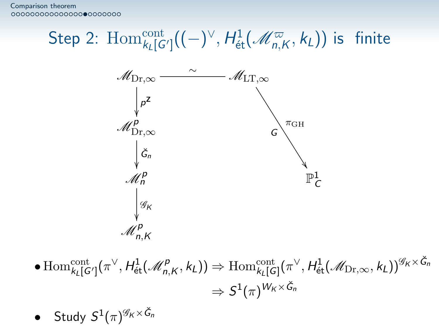[Comparison theorem](#page-2-0)<br>00000000000000000000000

# Step 2:  $\mathrm{Hom}_{k_L[G']}^{\mathrm{cont}}((-)^{\vee}, H^1_{\mathrm{\acute{e}t}}(\mathscr{M}_{n,K}^{\varpi}, k_L))$  is finite



$$
\begin{aligned} \bullet \operatorname{Hom}^{\operatorname{cont}}_{k_L[G']}&(\pi^\vee, H^1_{\text{\'et}}(\mathcal{M}^p_{n,K}, k_L)) \Rightarrow \operatorname{Hom}^{\operatorname{cont}}_{k_L[G]}(\pi^\vee, H^1_{\text{\'et}}(\mathcal{M}_{\operatorname{Dr}, \infty}, k_L))^{\mathscr{G}_K \times \check{G}_n}\\ &\Rightarrow S^1(\pi)^{W_K \times \check{G}_n} \end{aligned}
$$

• Study 
$$
S^1(\pi)^{\mathcal{G}_K \times \check{G}_n}
$$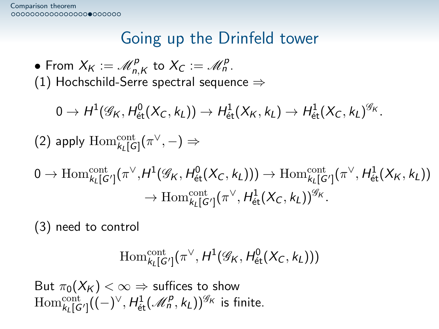## Going up the Drinfeld tower

• From  $X_K := \mathscr{M}_{n,K}^p$  to  $X_C := \mathscr{M}_n^p$ . (1) Hochschild-Serre spectral sequence  $\Rightarrow$ 

 $0 \rightarrow H^1(\mathscr{G}_\mathsf{K},\mathsf{H}^0_\mathrm{\acute{e}t}(X_\mathsf{C},k_\mathsf{L})) \rightarrow \mathsf{H}^1_\mathrm{\acute{e}t}(X_\mathsf{K},k_\mathsf{L}) \rightarrow \mathsf{H}^1_\mathrm{\acute{e}t}(X_\mathsf{C},k_\mathsf{L})^{\mathscr{G}_\mathsf{K}}.$ 

(2) apply  $\mathrm{Hom}^{\mathrm{cont}}_{k_L[G]}(\pi^\vee,-) \Rightarrow$ 

$$
\begin{aligned} 0\to\operatorname{Hom}^{\operatorname{cont}}_{k_L[G']}(\pi^\vee,H^1(\mathscr{G}_K,H^0_{\text{\'et}}(X_C,k_L)))\to\operatorname{Hom}^{\operatorname{cont}}_{k_L[G']}(\pi^\vee,H^1_{\text{\'et}}(X_K,k_L))\\ \to\operatorname{Hom}^{\operatorname{cont}}_{k_L[G']}(\pi^\vee,H^1_{\text{\'et}}(X_C,k_L))^{\mathscr{G}_K}.\end{aligned}
$$

(3) need to control

$$
\operatorname{Hom}^{\operatorname{cont}}_{k_L[G']}(\pi^\vee, H^1(\mathscr{G}_K, H^0_{\text{\'et}}(X_C, k_L)))
$$

But  $\pi_0(X_K) < \infty$   $\Rightarrow$  suffices to show  $\mathrm{Hom}_{k_L[G']}^{\mathrm{cont}}\bigl( (-)^{\vee}, H^1_{\text{\'et}}(\mathscr{M}^{\mathcal{P}}_n, k_L) \bigr)^{\mathscr{G}_{\mathcal{K}}}$  is finite.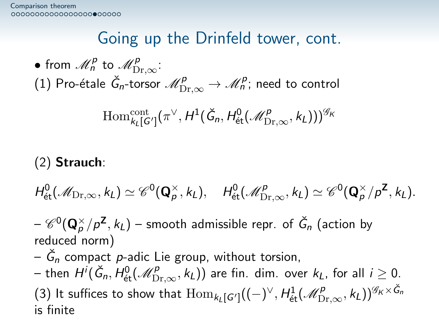## Going up the Drinfeld tower, cont.

• from  $\mathscr{M}^{\mathsf{p}}_n$  to  $\mathscr{M}^{\mathsf{p}}_{\mathrm{Dr}, \infty}$ : (1) Pro-étale  $\check G_n$ -torsor  $\mathscr{M}^{\rho}_{\mathrm{Dr}, \infty} \to \mathscr{M}^{\rho}_n$ ; need to control

$$
\operatorname{Hom}_{k_{L}[G']}^{\operatorname{cont}}(\pi^{\vee}, H^{1}(\check{G}_{n}, H^{0}_{\mathrm{\acute{e}t}}(\mathcal{M}^{\rho}_{\mathrm{Dr}, \infty}, k_{L})))^{\mathcal{G}_{K}}
$$

#### (2) Strauch:

$$
H^0_{\text{\'et}}(\mathscr{M}_{\mathrm{Dr}, \infty}, k_L) \simeq \mathscr{C}^0(\mathbf{Q}_\rho^\times, k_L), \quad H^0_{\text{\'et}}(\mathscr{M}^p_{\mathrm{Dr}, \infty}, k_L) \simeq \mathscr{C}^0(\mathbf{Q}_\rho^\times/p^\mathbf{Z}, k_L).
$$

 $-\mathscr{C}^0(\mathbf{Q}_\rho^\times/p^\mathbf{Z}, k_L)$  – smooth admissible repr. of  $\check G_n$  (action by reduced norm)

 $\check{G}_n$  compact  $p$ -adic Lie group, without torsion,

— then  $H^i(\check{G}_n,H_{\mathrm{\acute{e}t}}^0(\mathscr{M}_{\mathrm{Dr},\infty}^p,k_L))$  are fin. dim. over  $k_L$ , for all  $i\geq 0$ . (3) It suffices to show that  $\mathrm{Hom}_{k_L[G']}( (-)^\vee, H^1_{\text{\'et}}(\mathscr{M}^p_{\mathrm{Dr}, \infty}, k_L))^{\mathscr{G}_K \times \check{G}_n}$ is finite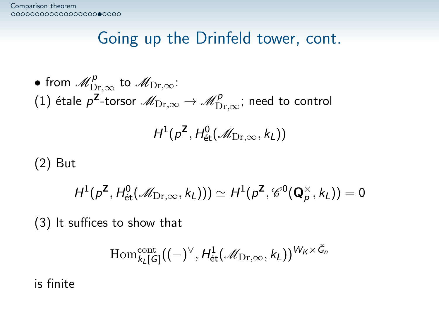### Going up the Drinfeld tower, cont.

 $\bullet$  from  $\mathscr{M}_{\mathrm{Dr}, \infty}^{\rho}$  to  $\mathscr{M}_{\mathrm{Dr}, \infty}$ : (1) étale  $p^{\mathsf{Z}}$ -torsor  $\mathscr{M}_{\mathrm{Dr}, \infty} \to \mathscr{M}_{\mathrm{Dr}, \infty}^\mathsf{p};$  need to control

$$
H^1(p^\mathsf{Z},H^0_\mathrm{\acute{e}t}(\mathcal{M}_{{\mathrm{Dr}},\infty},k_L))
$$

(2) But

$$
H^1(p^\mathsf{Z},H^0_\mathrm{\acute{e}t}(\mathscr{M}_{\mathrm{Dr},\infty},k_L)))\simeq H^1(p^\mathsf{Z},\mathscr{C}^0(\mathbf{Q}_\rho^\times,k_L))=0
$$

(3) It suffices to show that

$$
\operatorname{Hom}_{k_{L}[G]}^{\operatorname{cont}}((-)^{\vee},H_{\operatorname{\acute{e}t}}^{1}(\mathscr{M}_{\operatorname{Dr},\infty},k_{L}))^{W_{K}\times\check{G}_{n}}
$$

is finite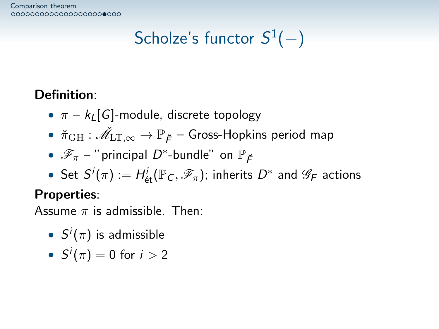[Comparison theorem](#page-2-0)<br>000000000000000000000000

## $\mathsf{Scholze}'$ s functor  $\mathcal{S}^1(-)$

#### Definition:

- $\pi k_l$  G-module, discrete topology
- $\bullet \; \; {\check \pi_{\text{GH}}} : \check{\mathscr{M}}_{\text{LT}, \infty} \to \mathbb{P}_{\breve F}$  Gross-Hopkins period map
- $\mathscr{F}_{\pi}$  " principal  $D^*$ -bundle" on  $\mathbb{P}_{\breve{F}}$
- Set  $S^i(\pi):=H^i_\mathrm{\acute{e}t}(\mathbb{P}_\mathcal{C},\mathscr{F}_\pi);$  inherits  $D^*$  and  $\mathscr{G}_\mathcal{F}$  actions

#### Properties:

Assume  $\pi$  is admissible. Then:

- $S^i(\pi)$  is admissible
- $\bullet \ \ S^i(\pi) = 0 \ \text{for} \ \ i > 2$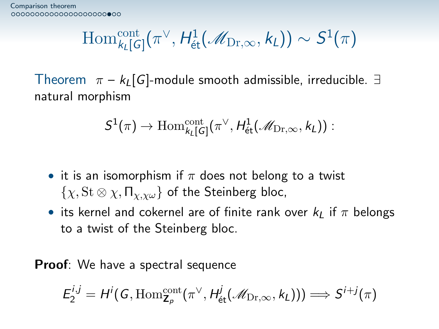$$
\mathrm{Hom}^{\mathrm{cont}}_{k_L[G]}(\pi^\vee, H^1_\mathrm{\acute{e}t}(\mathscr{M}_{\mathrm{Dr}, \infty}, k_L)) \sim S^1(\pi)
$$

Theorem  $\pi - k_L[G]$ -module smooth admissible, irreducible.  $\exists$ natural morphism

$$
S^1(\pi)\to \mathrm{Hom}^{\mathrm{cont}}_{k_L[G]}(\pi^\vee, H^1_\mathrm{\acute{e}t}(\mathscr{M}_{\mathrm{Dr}, \infty}, k_L)) :
$$

- it is an isomorphism if  $\pi$  does not belong to a twist  $\{\chi, \mathrm{St} \otimes \chi, \Pi_{\chi, \chi \omega}\}\,$  of the Steinberg bloc,
- its kernel and cokernel are of finite rank over  $k<sub>L</sub>$  if  $\pi$  belongs to a twist of the Steinberg bloc.

**Proof:** We have a spectral sequence

$$
E_2^{i,j}=H^i(G,\mathrm{Hom}^{\mathrm{cont}}_{\mathsf{Z}_p}(\pi^\vee,H^j_{\mathrm{\acute{e}t}}(\mathscr{M}_{\mathrm{Dr},\infty},k_L)))\Longrightarrow S^{i+j}(\pi)
$$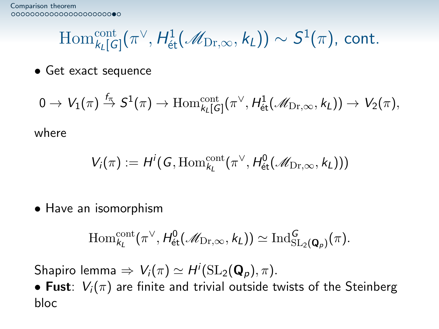$$
\operatorname{Hom}_{k_L[G]}^{\operatorname{cont}}(\pi^{\vee},H^1_{\text{\'et}}(\mathscr{M}_{\mathrm{Dr},\infty},k_L)) \sim S^1(\pi),\text{ cont.}
$$

• Get exact sequence

$$
0\to V_1(\pi)\stackrel{f_\pi}\to S^1(\pi)\to \mathrm{Hom}^{\mathrm{cont}}_{k_L[G]}(\pi^\vee,H^1_{\text{\'et}}(\mathscr{M}_{\mathrm{Dr},\infty},k_L))\to V_2(\pi),
$$

where

$$
V_i(\pi) := H^i(G, \mathrm{Hom}^{\mathrm{cont}}_{k_i}(\pi^{\vee}, H^0_{\mathrm{\acute{e}t}}(\mathcal{M}_{\mathrm{Dr}, \infty}, k_L)))
$$

• Have an isomorphism

$$
\mathrm{Hom}^{\mathrm{cont}}_{k_L}(\pi^\vee, H^0_{\text{\'et}}(\mathcal{M}_{\mathrm{Dr}, \infty}, k_L)) \simeq \mathrm{Ind}^G_{\mathrm{SL}_2(\mathbf{Q}_p)}(\pi).
$$

Shapiro lemma  $\Rightarrow V_i(\pi) \simeq H^i(\mathrm{SL}_2(\mathbf{Q}_p),\pi).$ 

• Fust:  $V_i(\pi)$  are finite and trivial outside twists of the Steinberg bloc